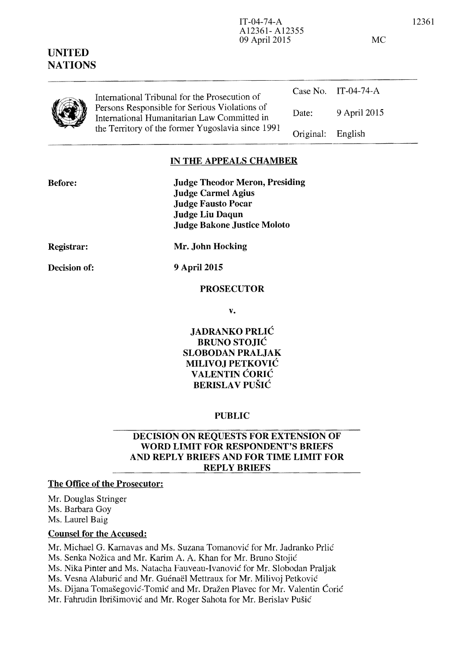| International Tribunal for the Prosecution of<br>Persons Responsible for Serious Violations of<br>International Humanitarian Law Committed in<br>the Territory of the former Yugoslavia since 1991 |                   | Case No. IT-04-74-A |
|----------------------------------------------------------------------------------------------------------------------------------------------------------------------------------------------------|-------------------|---------------------|
|                                                                                                                                                                                                    | Date:             | 9 April 2015        |
|                                                                                                                                                                                                    | Original: English |                     |

#### **IN THE APPEALS CHAMBER**

| <b>Judge Theodor Meron, Presiding</b> |
|---------------------------------------|
| <b>Judge Carmel Agius</b>             |
| <b>Judge Fausto Pocar</b>             |
| <b>Judge Liu Daqun</b>                |
| <b>Judge Bakone Justice Moloto</b>    |
|                                       |

**Registrar:** 

**Decision of:** 

**9** April 2015

**Mr. John Hocking** 

**PROSECUTOR** 

**v.** 

**JADRANKO PRLIC BRUNO STOJIC SLOBODAN PRALJAK MILIVOJ PETKOVIC VALENTIN CORIC BERISLA V PU81C** 

#### **PUBLIC**

## **DECISION ON REQUESTS FOR EXTENSION OF WORD LIMIT FOR RESPONDENT'S BRIEFS AND REPLY BRIEFS AND FOR TIME LIMIT FOR REPLY BRIEFS**

### **The Office of the Prosecutor:**

Mr. Douglas Stringer Ms. Barbara Goy Ms. Laurel Baig

## **Counsel for the Accused:**

Mr. Michael G. Kamavas and Ms. Suzana Tomanovic for Mr. Jadranko Prlic Ms. Senka Nozica and Mr. Karim A. A. Khan for Mr. Bruno Stojic Ms. Nika Pinter and Ms. Natacha Fauveau-Ivanovic for Mr. Slobodan Praljak Ms. Vesna Alaburić and Mr. Guénaël Mettraux for Mr. Milivoj Petković Ms. Dijana Tomašegović-Tomić and Mr. Dražen Plavec for Mr. Valentin Ćorić Mr. Fahrudin Ibrišimović and Mr. Roger Sahota for Mr. Berislav Pušić

IT-04-74-A 12361 A12361- A12355 09 April 2015 MC

| <b>UNITED</b>  |
|----------------|
| <b>NATIONS</b> |

**Before:**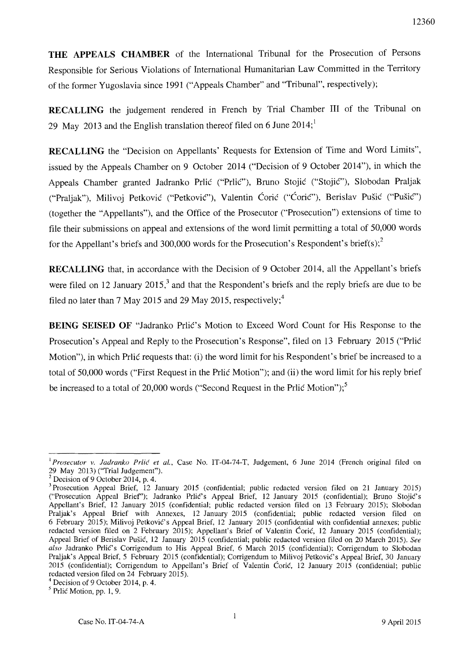**THE APPEALS CHAMBER** of the International Tribunal for the Prosecution of Persons Responsible for Serious Violations of International Humanitarian Law Committed in the Territory of the former Yugoslavia since 1991 ("Appeals Chamber" and "Tribunal", respectively);

**RECALLING** the judgement rendered in French by Trial Chamber III of the Tribunal on 29 May 2013 and the English translation thereof filed on 6 June  $2014$ ;<sup>1</sup>

**RECALLING** the "Decision on Appellants' Requests for Extension of Time and Word Limits", issued by the Appeals Chamber on 9 October 2014 ("Decision of 9 October 2014"), in which the Appeals Chamber granted Jadranko Prlic ("PrliC"), Bruno Stojic ("Stojic"), Slobodan Praljak ("Praljak"), Milivoj Petković ("Petković"), Valentin Ćorić ("Ćorić"), Berislav Pušić ("Pušić") (together the "Appellants"), and the Office of the Prosecutor ("Prosecution") extensions of time to file their submissions on appeal and extensions of the word limit pennitting a total of 50,000 words for the Appellant's briefs and 300,000 words for the Prosecution's Respondent's brief(s);<sup>2</sup>

**RECALLING** that, in accordance with the Decision of 9 October 2014, all the Appellant's briefs were filed on 12 January  $2015<sup>3</sup>$  and that the Respondent's briefs and the reply briefs are due to be filed no later than 7 May 2015 and 29 May 2015, respectively;<sup>4</sup>

**BEING SEISED OF "Jadranko Prlic's Motion to Exceed Word Count for His Response to the** Prosecution's Appeal and Reply to the Prosecution's Response", filed on 13 February 2015 ("Prlic Motion"), in which Prlic requests that: (i) the word limit for his Respondent's brief be increased to a total of 50,000 words ("First Request in the Prlie Motion"); and (ii) the word limit for his reply brief be increased to a total of 20,000 words ("Second Request in the Prlic Motion");<sup>5</sup>

<sup>I</sup>*Prosecutor* v. *ladranko Prlic et al.,* Case No. 1T-04-74-T, Judgement, 6 June 2014 (French original filed on 29 May 2013) ("Trial Judgement").

 $2$  Decision of 9 October 2014, p. 4.

<sup>&</sup>lt;sup>3</sup> Prosecution Appeal Brief, 12 January 2015 (confidential; public redacted version filed on 21 January 2015) ("Prosecution Appeal Brief'); Jadranko Pr!ic's Appeal Brief, 12 January 2015 (confidential); Bruno Stojic's Appellant's Brief, 12 January 2015 (confidential; public redacted version filed on 13 February 2015); Slobodan Praljak's Appeal Brief with Annexes, 12 January 2015 (confidential; public redacted version filed on 6 February 2015); Milivoj Petkovic's Appeal Brief, 12 January 2015 (confidential with confidential annexes; public redacted version filed on 2 February 2015); Appellant's Brief of Valentin Coric, 12 January 2015 (confidential); Appeal Brief of Berislav Pusic, 12 January 2015 (confidential; public redacted version filed on 20 March 2015). *See also* Jadranko Prlic's Corrigendum to His Appeal Brief, 6 March 2015 (confidential); Corrigendum to Slobodan Praljak's Appeal Brief, 5 February 2015 (confidential); Corrigendum to Milivoj Petković's Appeal Brief, 30 January 2015 (confidential); Corrigendum to Appellant's Brief of Valentin Coric, 12 January 2015 (confidential; public redacted version filed on 24 February 2015).

 $4$  Decision of 9 October 2014, p. 4.

 $<sup>5</sup>$  Prlic Motion, pp. 1, 9.</sup>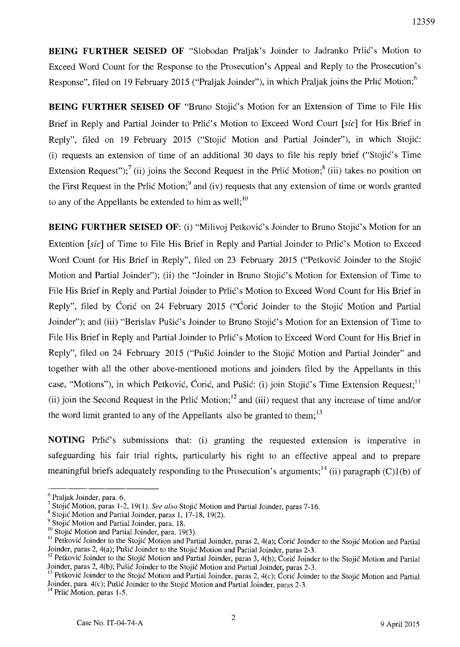**BEING FURTHER SEISED OF** "Slobodan Praljak's Joinder to Jadranko Prlic's Motion to Exceed Word Count for the Response to the Prosecution's Appeal and Reply to the Prosecution's Response", filed on 19 February 2015 ("Praljak Joinder"), in which Praljak joins the Prlic Motion;<sup>6</sup>

**BEING FURTHER SEISED OF "Bruno Stojic's Motion for an Extension of Time to File His** Brief in Reply and Partial Joinder to Prlic's Motion to Exceed Word Court [sic] for His Brief in Reply", filed on 19 February 2015 ("Stojić Motion and Partial Joinder"), in which Stojić: (i) requests an extension of time of an additional 30 days to file his reply brief ("StojiC's Time Extension Request");<sup>7</sup> (ii) joins the Second Request in the Prlic Motion;<sup>8</sup> (iii) takes no position on the First Request in the Prlic Motion;<sup>9</sup> and (iv) requests that any extension of time or words granted to any of the Appellants be extended to him as well; $^{10}$ 

**BEING FURTHER SEISED OF:** (i) "Milivoj Petković's Joinder to Bruno Stojić's Motion for an Extention [sic] of Time to File His Brief in Reply and Partial Joinder to Prlic's Motion to Exceed Word Count for His Brief in Reply", filed on 23 February 2015 ("Petkovic Joinder to the Stojie Motion and Partial Joinder"); (ii) the "Joinder in Bruno Stojic's Motion for Extension of Time to File His Brief in Reply and Partial Joinder to Prlić's Motion to Exceed Word Count for His Brief in Reply", filed by Coric on 24 February 2015 ("Coric Joinder to the Stojic Motion and Partial Joinder"); and (iii) "Berislav Pušić's Joinder to Bruno Stojić's Motion for an Extension of Time to File His Brief in Reply and Partial Joinder to Prlić's Motion to Exceed Word Count for His Brief in Reply", filed on 24 February 2015 ("Pušić Joinder to the Stojić Motion and Partial Joinder" and together with all the other above-mentioned motions and joinders filed by the Appellants in this case, "Motions"), in which Petković, Ćorić, and Pušić: (i) join Stojić's Time Extension Request:<sup>11</sup> (ii) join the Second Request in the Prlic Motion;<sup>12</sup> and (iii) request that any increase of time and/or the word limit granted to any of the Appellants also be granted to them;  $13$ 

**NOTING** Prilic's submissions that: (i) granting the requested extension is imperative in safeguarding his fair trial rights, particularly his right to an effective appeal and to prepare meaningful briefs adequately responding to the Prosecution's arguments;<sup>14</sup> (ii) paragraph (C)1(b) of

<sup>6</sup> Praljak Joinder, para. 6.

<sup>7</sup> Stojie Motion, paras 1-2, 19(1). *See also* Stojie Motion and Partial Joinder, paras 7-16.

<sup>&</sup>lt;sup>8</sup> Stojić Motion and Partial Joinder, paras 1, 17-18, 19(2).

<sup>&</sup>lt;sup>9</sup> Stojić Motion and Partial Joinder, para. 18.

<sup>&</sup>lt;sup>10</sup> Stojić Motion and Partial Joinder, para. 19(3).

<sup>&</sup>lt;sup>11</sup> Petković Joinder to the Stojić Motion and Partial Joinder, paras 2, 4(a); Coric Joinder to the Stojić Motion and Partial Joinder, paras 2, 4(a); Pusic Joinder to the Stojie Motion and Partial Joinder, paras 2-3.

<sup>&</sup>lt;sup>12</sup> Petkovic Joinder to the Stojic Motion and Partial Joinder, paras 3, 4(b); Coric Joinder to the Stojic Motion and Partial Joinder, paras 2, 4(b); Pušić Joinder to the Stojić Motion and Partial Joinder, paras 2-3.

<sup>&</sup>lt;sup>13</sup> Petković Joinder to the Stojić Motion and Partial Joinder, paras 2, 4(c); Coric Joinder to the Stojić Motion and Partial Joinder, para. 4(c); Pusic Joinder to the Stojie Motion and Partial Joinder, paras 2-3.

<sup>&</sup>lt;sup>14</sup> Prlić Motion, paras 1-5.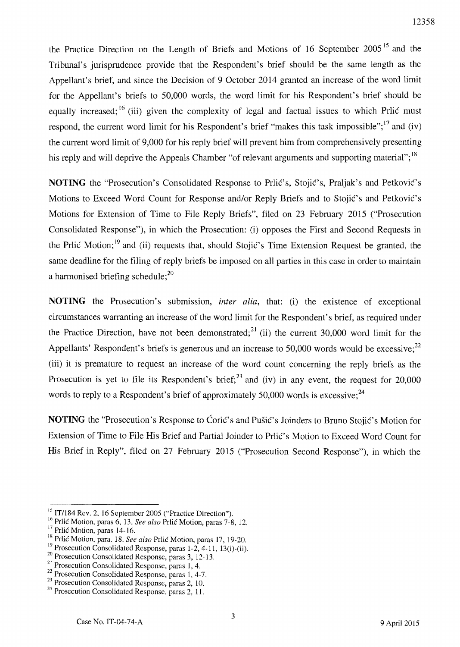the Practice Direction on the Length of Briefs and Motions of 16 September  $2005<sup>15</sup>$  and the Tribunal's jurisprudence provide that the Respondent's brief should be the same length as the Appellant's brief, and since the Decision of 9 October 2014 granted an increase of the word limit for the Appellant's briefs to 50,000 words, the word limit for his Respondent's brief should be equally increased;  $^{16}$  (iii) given the complexity of legal and factual issues to which Prlic must respond, the current word limit for his Respondent's brief "makes this task impossible"; $^{17}$  and (iv) the current word limit of 9,000 for his reply brief will prevent him from comprehensively presenting his reply and will deprive the Appeals Chamber "of relevant arguments and supporting material"; <sup>18</sup>

**NOTING** the "Prosecution's Consolidated Response to Prlic's, Stojic's, Praljak's and Petkovic's Motions to Exceed Word Count for Response and/or Reply Briefs and to Stojić's and Petković's Motions for Extension of Time to File Reply Briefs", filed on 23 February 2015 ("Prosecution Consolidated Response"), in which the Prosecution: (i) opposes the First and Second Requests in the Prlic Motion;19 and (ii) requests that, should Stojic's Time Extension Request be granted, the same deadline for the filing of reply briefs be imposed on all parties in this case in order to maintain a harmonised briefing schedule:<sup>20</sup>

**NOTING** the Prosecution's submission, *inter alia,* that: (i) the existence of exceptional circumstances warranting an increase of the word limit for the Respondent's brief, as required under the Practice Direction, have not been demonstrated;<sup>21</sup> (ii) the current 30,000 word limit for the Appellants' Respondent's briefs is generous and an increase to 50,000 words would be excessive; $^{22}$ (iii) it is premature to request an increase of the word count concerning the reply briefs as the Prosecution is yet to file its Respondent's brief;  $^{23}$  and (iv) in any event, the request for 20,000 words to reply to a Respondent's brief of approximately 50,000 words is excessive;  $24$ 

**NOTING** the "Prosecution's Response to Coric's and Pušic's Joinders to Bruno Stojic's Motion for Extension of Time to File His Brief and Partial Joinder to Prlic's Motion to Exceed Word Count for His Brief in Reply", filed on 27 February 2015 ("Prosecution Second Response"), in which the

 $15$  IT/184 Rev. 2, 16 September 2005 ("Practice Direction").

<sup>16</sup> Prlic Motion, paras 6, 13. *See also* Prlic Motion, paras 7-8, 12.

<sup>&</sup>lt;sup>17</sup> Prlic Motion, paras 14-16.

<sup>1&</sup>amp; Prlic Motion, para. 18. *See also* Prlic Motion, paras 17, 19-20.

<sup>&</sup>lt;sup>19</sup> Prosecution Consolidated Response, paras  $1-2$ ,  $4-11$ ,  $13(i)$ -(ii).

<sup>&</sup>lt;sup>20</sup> Prosecution Consolidated Response, paras 3, 12-13.

<sup>&</sup>lt;sup>21</sup> Prosecution Consolidated Response, paras 1, 4.

<sup>&</sup>lt;sup>22</sup> Prosecution Consolidated Response, paras 1, 4-7.

<sup>&</sup>lt;sup>23</sup> Prosecution Consolidated Response, paras 2, 10.

 $^{24}$  Prosecution Consolidated Response, paras 2, 11.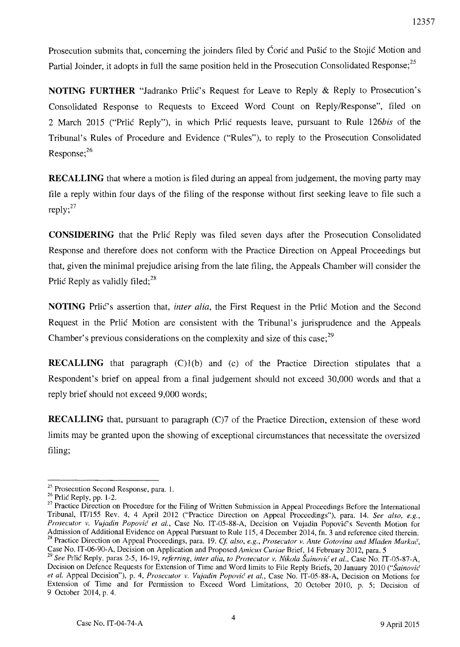Prosecution submits that, concerning the joinders filed by Coric and Pušic to the Stojic Motion and Partial Joinder, it adopts in full the same position held in the Prosecution Consolidated Response;<sup>25</sup>

**NOTING FURTHER** "Jadranko Prlić's Request for Leave to Reply & Reply to Prosecution's Consolidated Response to Requests to Exceed Word Count on Reply/Response", filed on 2 March 2015 ("Prlic Reply"), in which Prlic requests leave, pursuant to Rule 126bis of the Tribunal's Rules of Procedure and Evidence ("Rules"), to reply to the Prosecution Consolidated Response;<sup>26</sup>

**RECALLING** that where a motion is filed during an appeal from judgement, the moving party may file a reply within four days of the filing of the response without first seeking leave to file such a reply; $27$ 

**CONSIDERING** that the Prlic Reply was filed seven days after the Prosecution Consolidated Response and therefore does not conform with the Practice Direction on Appeal Proceedings but that, given the minimal prejudice arising from the late filing, the Appeals Chamber will consider the Prlić Reply as validly filed;<sup>28</sup>

**NOTING** Prlic's assertion that, *inter alia*, the First Request in the Prlic Motion and the Second Request in the Prlic Motion are consistent with the Tribunal's jurisprudence and the Appeals Chamber's previous considerations on the complexity and size of this case;<sup>29</sup>

**RECALLING** that paragraph (C)1(b) and (c) of the Practice Direction stipulates that a Respondent's brief on appeal from a final judgement should not exceed 30,000 words and that a reply brief should not exceed 9,000 words;

**RECALLING** that, pursuant to paragraph (C)7 of the Practice Direction, extension of these word limits may be granted upon the showing of exceptional circumstances that necessitate the oversized filing;

<sup>&</sup>lt;sup>25</sup> Prosecution Second Response, para. 1.

<sup>26</sup> Prlic Reply, pp. 1-2.

<sup>&</sup>lt;sup>27</sup> Practice Direction on Procedure for the Filing of Written Submission in Appeal Proceedings Before the International Tribunal, IT/I55 Rev. 4, 4 April 2012 ("Practice Direction on Appeal Proceedings"), para. 14. *See also, e.g.,*  Prosecutor v. Vujadin Popović et al., Case No. IT-05-88-A, Decision on Vujadin Popović's Seventh Motion for Admission of Additional Evidence on Appeal Pursuant to Rule 115,4 December 2014, fn. 3 and reference cited therein. <sup>28</sup> Practice Direction on Appeal Proceedings, para. 19. *Cf. also, e.g., Prosecutor v. Ante Gotovina and Mladen Markač,* Case No. IT-06-90-A, Decision on Application and Proposed *Amicus Curiae* Brief, 14 February 2012, para. 5

<sup>&</sup>lt;sup>29</sup> See Prlic Reply, paras 2-5, 16-19, *referring, inter alia, to Prosecutor v. Nikola Šainović et al., Case No. IT-05-87-A,* Decision on Defence Requests for Extension of Time and Word limits to File Reply Briefs, 20 January 2010 *("Sainovic et ai.* Appeal Decision"), p. 4, *Prosecutor v. Vujadin Popovic et ai.,* Case No. IT-05-88-A, Decision on Motions for Extension of Time and for Permission to Exceed Word Limitations, 20 October 2010, p. 5; Decision of 9 October 2014, p. 4.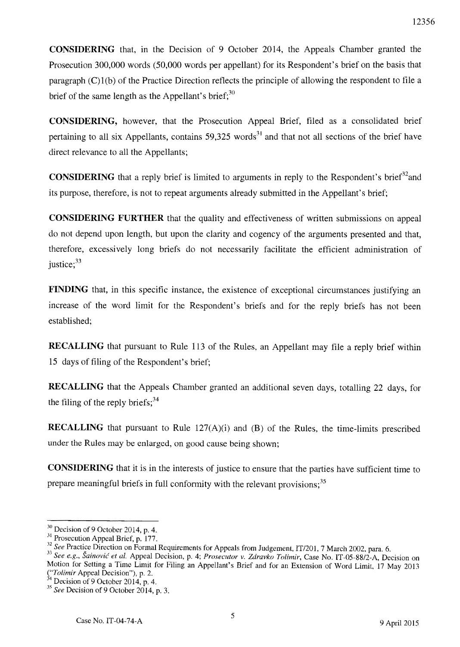**CONSIDERING** that, in the Decision of 9 October 2014, the Appeals Chamber granted the Prosecution 300,000 words (50,000 words per appellant) for its Respondent's brief on the basis that paragraph (C)I(b) of the Practice Direction reflects the principle of allowing the respondent to file a brief of the same length as the Appellant's brief;  $30$ 

**CONSIDERING,** however, that the Prosecution Appeal Brief, filed as a consolidated brief pertaining to all six Appellants, contains  $59,325$  words<sup>31</sup> and that not all sections of the brief have direct relevance to all the Appellants;

**CONSIDERING** that a reply brief is limited to arguments in reply to the Respondent's brief<sup>32</sup> and its purpose, therefore, is not to repeat arguments already submitted in the Appellant's brief;

**CONSIDERING FURTHER** that the quality and effectiveness of written submissions on appeal do not depend upon length, but upon the clarity and cogency of the arguments presented and that, therefore, excessively long briefs do not necessarily facilitate the efficient administration of justice; $33$ 

**FINDING** that, in this specific instance, the existence of exceptional circumstances justifying an increase of the word limit for the Respondent's briefs and for the reply briefs has not been established;

**RECALLING** that pursuant to Rule 113 of the Rules, an Appellant may file a reply brief within 15 days of filing of the Respondent's brief;

**RECALLING** that the Appeals Chamber granted an additional seven days, totalling 22 days, for the filing of the reply briefs;  $34$ 

**RECALLING** that pursuant to Rule 127(A)(i) and (B) of the Rules, the time-limits prescribed under the Rules may be enlarged, on good cause being shown;

**CONSIDERING** that it is in the interests of justice to ensure that the parties have sufficient time to prepare meaningful briefs in full conformity with the relevant provisions;  $35$ 

 $30$  Decision of 9 October 2014, p. 4.

<sup>&</sup>lt;sup>31</sup> Prosecution Appeal Brief, p. 177.

*<sup>32</sup> See* Practice Direction on Formal Requirements for Appeals from JUdgement, *IT/201,* 7 March 2002, para. 6.

*<sup>33</sup> See e.g., Sainovic et al.* Appeal Decision, p. 4; *Prosecutor v. Zdravko Tolimir,* Case No. *IT-05-88/2-A,* Decision on Motion for Setting a Time Limit for Filing an Appellant's Brief and for an Extension of Word Limit, 17 May 2013 *("Tolimir* Appeal Decision"), p. 2.

 $34$  Decision of 9 October 2014, p. 4.

<sup>&</sup>lt;sup>35</sup> See Decision of 9 October 2014, p. 3.